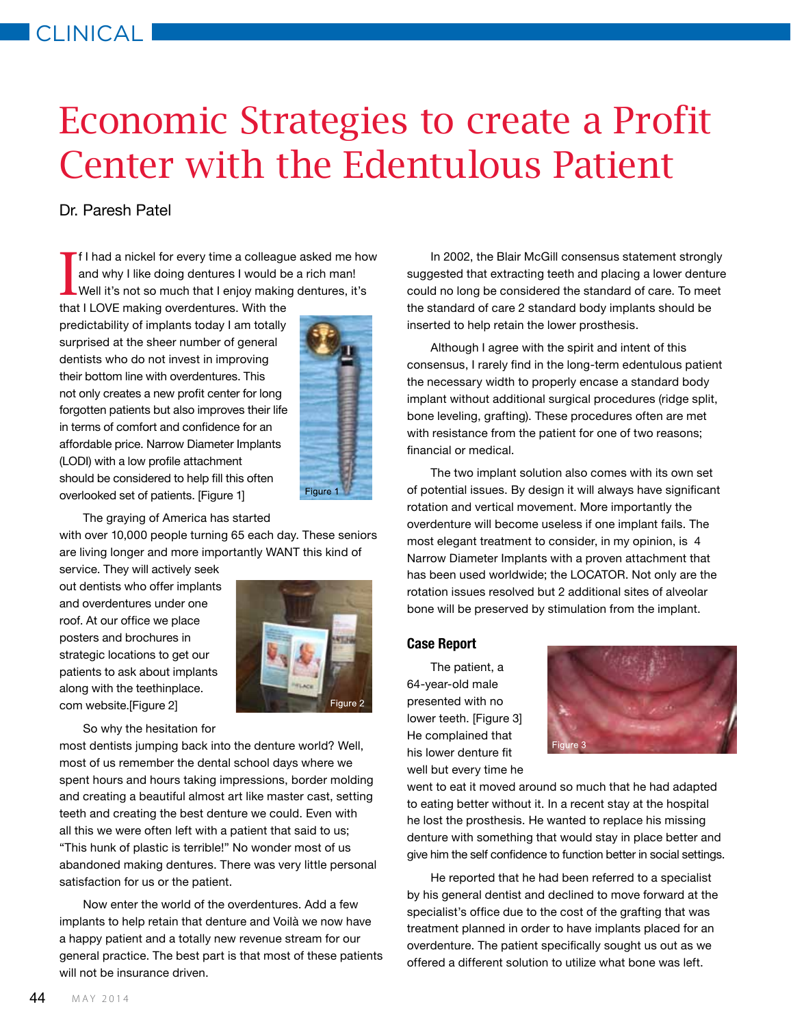## Economic Strategies to create a Profit Center with the Edentulous Patient

## Dr. Paresh Patel

I f I had a nickel for every time a colleague asked me how and why I like doing dentures I would be a rich man! Well it's not so much that I enjoy making dentures, it's

that I LOVE making overdentures. With the predictability of implants today I am totally surprised at the sheer number of general dentists who do not invest in improving their bottom line with overdentures. This not only creates a new profit center for long forgotten patients but also improves their life in terms of comfort and confidence for an affordable price. Narrow Diameter Implants (LODI) with a low profile attachment should be considered to help fill this often overlooked set of patients. [Figure 1]



The graying of America has started

with over 10,000 people turning 65 each day. These seniors are living longer and more importantly WANT this kind of

service. They will actively seek out dentists who offer implants and overdentures under one roof. At our office we place posters and brochures in strategic locations to get our patients to ask about implants along with the teethinplace. com website.[Figure 2]



So why the hesitation for

most dentists jumping back into the denture world? Well, most of us remember the dental school days where we spent hours and hours taking impressions, border molding and creating a beautiful almost art like master cast, setting teeth and creating the best denture we could. Even with all this we were often left with a patient that said to us; "This hunk of plastic is terrible!" No wonder most of us abandoned making dentures. There was very little personal satisfaction for us or the patient.

Now enter the world of the overdentures. Add a few implants to help retain that denture and Voilà we now have a happy patient and a totally new revenue stream for our general practice. The best part is that most of these patients will not be insurance driven.

In 2002, the Blair McGill consensus statement strongly suggested that extracting teeth and placing a lower denture could no long be considered the standard of care. To meet the standard of care 2 standard body implants should be inserted to help retain the lower prosthesis.

Although I agree with the spirit and intent of this consensus, I rarely find in the long-term edentulous patient the necessary width to properly encase a standard body implant without additional surgical procedures (ridge split, bone leveling, grafting). These procedures often are met with resistance from the patient for one of two reasons; financial or medical.

The two implant solution also comes with its own set of potential issues. By design it will always have significant rotation and vertical movement. More importantly the overdenture will become useless if one implant fails. The most elegant treatment to consider, in my opinion, is 4 Narrow Diameter Implants with a proven attachment that has been used worldwide; the LOCATOR. Not only are the rotation issues resolved but 2 additional sites of alveolar bone will be preserved by stimulation from the implant.

## **Case Report**

The patient, a 64-year-old male presented with no lower teeth. [Figure 3] He complained that his lower denture fit well but every time he



went to eat it moved around so much that he had adapted to eating better without it. In a recent stay at the hospital he lost the prosthesis. He wanted to replace his missing denture with something that would stay in place better and give him the self confidence to function better in social settings.

He reported that he had been referred to a specialist by his general dentist and declined to move forward at the specialist's office due to the cost of the grafting that was treatment planned in order to have implants placed for an overdenture. The patient specifically sought us out as we offered a different solution to utilize what bone was left.